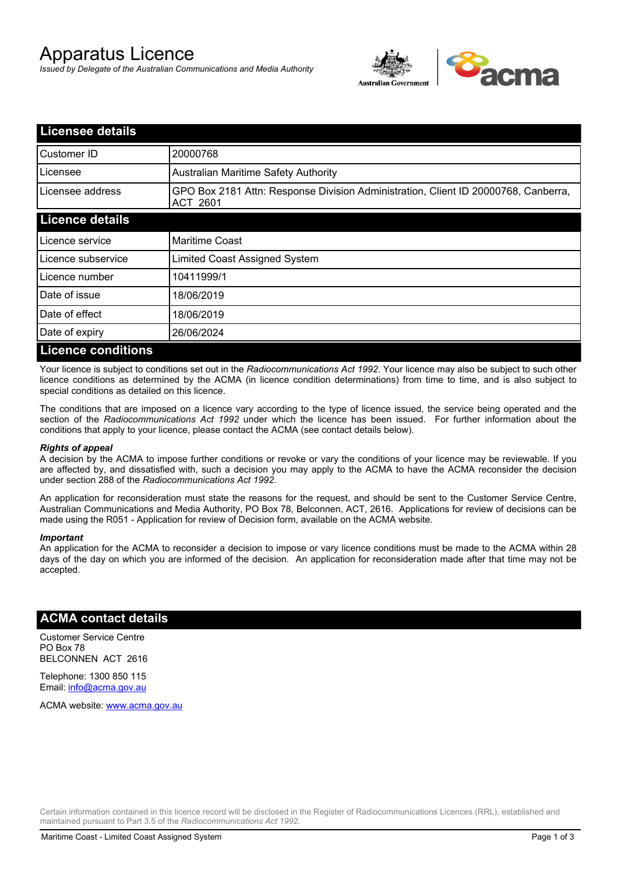# Apparatus Licence

*Issued by Delegate of the Australian Communications and Media Authority*



| <b>Licensee details</b>   |                                                                                                       |
|---------------------------|-------------------------------------------------------------------------------------------------------|
| Customer ID               | 20000768                                                                                              |
| Licensee                  | <b>Australian Maritime Safety Authority</b>                                                           |
| Licensee address          | GPO Box 2181 Attn: Response Division Administration, Client ID 20000768, Canberra,<br><b>ACT 2601</b> |
| <b>Licence details</b>    |                                                                                                       |
| Licence service           | <b>Maritime Coast</b>                                                                                 |
| Licence subservice        | Limited Coast Assigned System                                                                         |
| Licence number            | 10411999/1                                                                                            |
| Date of issue             | 18/06/2019                                                                                            |
| Date of effect            | 18/06/2019                                                                                            |
| Date of expiry            | 26/06/2024                                                                                            |
| <b>Licence conditions</b> |                                                                                                       |

Your licence is subject to conditions set out in the *Radiocommunications Act 1992*. Your licence may also be subject to such other licence conditions as determined by the ACMA (in licence condition determinations) from time to time, and is also subject to special conditions as detailed on this licence.

The conditions that are imposed on a licence vary according to the type of licence issued, the service being operated and the section of the *Radiocommunications Act 1992* under which the licence has been issued. For further information about the conditions that apply to your licence, please contact the ACMA (see contact details below).

#### *Rights of appeal*

A decision by the ACMA to impose further conditions or revoke or vary the conditions of your licence may be reviewable. If you are affected by, and dissatisfied with, such a decision you may apply to the ACMA to have the ACMA reconsider the decision under section 288 of the *Radiocommunications Act 1992*.

An application for reconsideration must state the reasons for the request, and should be sent to the Customer Service Centre, Australian Communications and Media Authority, PO Box 78, Belconnen, ACT, 2616. Applications for review of decisions can be made using the R051 - Application for review of Decision form, available on the ACMA website.

#### *Important*

An application for the ACMA to reconsider a decision to impose or vary licence conditions must be made to the ACMA within 28 days of the day on which you are informed of the decision. An application for reconsideration made after that time may not be accepted.

### **ACMA contact details**

Customer Service Centre PO Box 78 BELCONNEN ACT 2616

Telephone: 1300 850 115 Email: info@acma.gov.au

ACMA website: www.acma.gov.au

Certain information contained in this licence record will be disclosed in the Register of Radiocommunications Licences (RRL), established and maintained pursuant to Part 3.5 of the *Radiocommunications Act 1992.*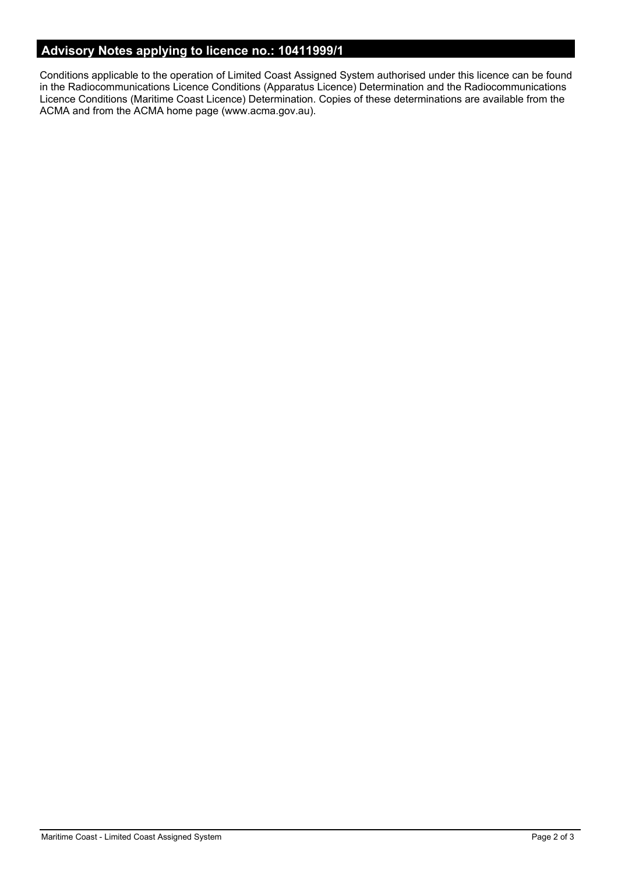# **Advisory Notes applying to licence no.: 10411999/1**

Conditions applicable to the operation of Limited Coast Assigned System authorised under this licence can be found in the Radiocommunications Licence Conditions (Apparatus Licence) Determination and the Radiocommunications Licence Conditions (Maritime Coast Licence) Determination. Copies of these determinations are available from the ACMA and from the ACMA home page (www.acma.gov.au).